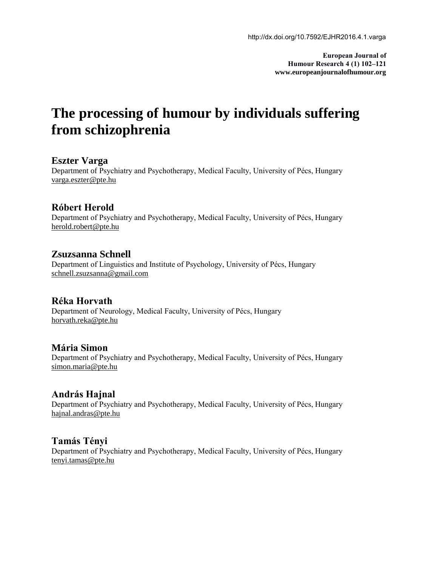**European Journal of Humour Research 4 (1) 102–121 www.europeanjournalofhumour.org**

# **The processing of humour by individuals suffering from schizophrenia**

# **Eszter Varga**

Department of Psychiatry and Psychotherapy, Medical Faculty, University of Pécs, Hungary [varga.eszter@pte.hu](mailto:varga.eszter@pte.hu)

# **Róbert Herold**

Department of Psychiatry and Psychotherapy, Medical Faculty, University of Pécs, Hungary [herold.robert@pte.hu](mailto:herold.robert@pte.hu)

# **Zsuzsanna Schnell**

Department of Linguistics and Institute of Psychology, University of Pécs, Hungary [schnell.zsuzsanna@gmail.com](mailto:schnell.zsuzsanna@gmail.com)

#### **Réka Horvath**

Department of Neurology, Medical Faculty, University of Pécs, Hungary [horvath.reka@pte.hu](mailto:horvath.reka@pte.hu)

#### **Mária Simon**

Department of Psychiatry and Psychotherapy, Medical Faculty, University of Pécs, Hungary [simon.maria@pte.hu](mailto:simon.maria@pte.hu)

#### **András Hajnal**

Department of Psychiatry and Psychotherapy, Medical Faculty, University of Pécs, Hungary [hajnal.andras@pte.hu](mailto:hajnal.andras@pte.hu)

#### **Tamás Tényi**

Department of Psychiatry and Psychotherapy, Medical Faculty, University of Pécs, Hungary [tenyi.tamas@pte.hu](mailto:tenyi.tamas@pte.hu)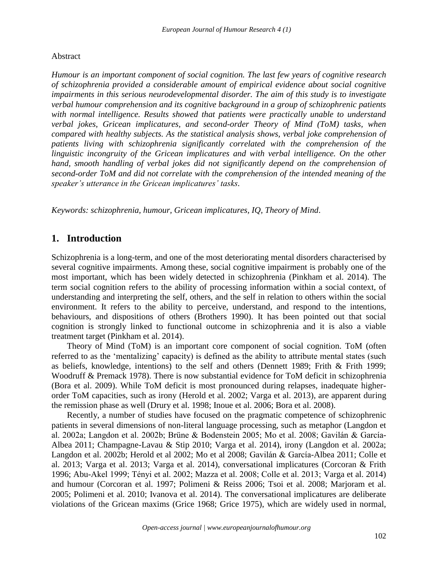#### Abstract

*Humour is an important component of social cognition. The last few years of cognitive research of schizophrenia provided a considerable amount of empirical evidence about social cognitive impairments in this serious neurodevelopmental disorder. The aim of this study is to investigate verbal humour comprehension and its cognitive background in a group of schizophrenic patients with normal intelligence. Results showed that patients were practically unable to understand verbal jokes, Gricean implicatures, and second-order Theory of Mind (ToM) tasks, when compared with healthy subjects. As the statistical analysis shows, verbal joke comprehension of patients living with schizophrenia significantly correlated with the comprehension of the linguistic incongruity of the Gricean implicatures and with verbal intelligence. On the other*  hand, smooth handling of verbal jokes did not significantly depend on the comprehension of *second-order ToM and did not correlate with the comprehension of the intended meaning of the speaker's utterance in the Gricean implicatures' tasks.*

*Keywords: schizophrenia, humour, Gricean implicatures, IQ, Theory of Mind*.

# **1. Introduction**

Schizophrenia is a long-term, and one of the most deteriorating mental disorders characterised by several cognitive impairments. Among these, social cognitive impairment is probably one of the most important, which has been widely detected in schizophrenia (Pinkham et al. 2014). The term social cognition refers to the ability of processing information within a social context, of understanding and interpreting the self, others, and the self in relation to others within the social environment. It refers to the ability to perceive, understand, and respond to the intentions, behaviours, and dispositions of others (Brothers 1990). It has been pointed out that social cognition is strongly linked to functional outcome in schizophrenia and it is also a viable treatment target (Pinkham et al. 2014).

Theory of Mind (ToM) is an important core component of social cognition. ToM (often referred to as the 'mentalizing' capacity) is defined as the ability to attribute mental states (such as beliefs, knowledge, intentions) to the self and others (Dennett 1989; Frith & Frith 1999; Woodruff & Premack 1978). There is now substantial evidence for ToM deficit in schizophrenia (Bora et al. 2009). While ToM deficit is most pronounced during relapses, inadequate higherorder ToM capacities, such as irony (Herold et al. 2002; Varga et al. 2013), are apparent during the remission phase as well (Drury et al. 1998; Inoue et al. 2006; Bora et al. 2008).

Recently, a number of studies have focused on the pragmatic competence of schizophrenic patients in several dimensions of non-literal language processing, such as metaphor (Langdon et al. 2002a; Langdon et al. 2002b; Brüne & Bodenstein 2005; Mo et al. 2008; Gavilán & García-Albea 2011; Champagne-Lavau & Stip 2010; Varga et al. 2014), irony (Langdon et al. 2002a; Langdon et al. 2002b; Herold et al 2002; Mo et al 2008; Gavilán & García-Albea 2011; Colle et al. 2013; Varga et al. 2013; Varga et al. 2014), conversational implicatures (Corcoran & Frith 1996; Abu-Akel 1999; Tényi et al. 2002; Mazza et al. 2008; Colle et al. 2013; Varga et al. 2014) and humour (Corcoran et al. 1997; Polimeni & Reiss 2006; Tsoi et al. 2008; Marjoram et al. 2005; Polimeni et al. 2010; Ivanova et al. 2014). The conversational implicatures are deliberate violations of the Gricean maxims (Grice 1968; Grice 1975), which are widely used in normal,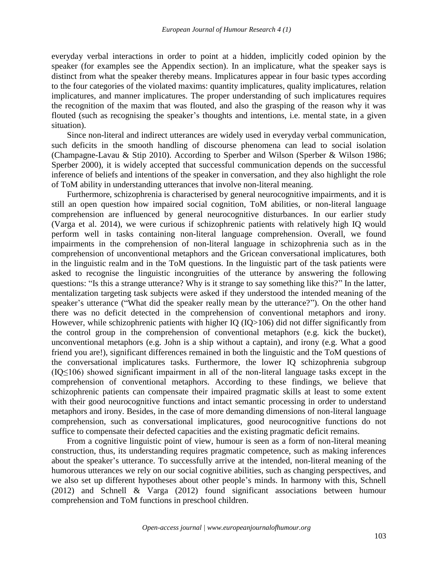everyday verbal interactions in order to point at a hidden, implicitly coded opinion by the speaker (for examples see the Appendix section). In an implicature, what the speaker says is distinct from what the speaker thereby means. Implicatures appear in four basic types according to the four categories of the violated maxims: quantity implicatures, quality implicatures, relation implicatures, and manner implicatures. The proper understanding of such implicatures requires the recognition of the maxim that was flouted, and also the grasping of the reason why it was flouted (such as recognising the speaker's thoughts and intentions, i.e. mental state, in a given situation).

Since non-literal and indirect utterances are widely used in everyday verbal communication, such deficits in the smooth handling of discourse phenomena can lead to social isolation (Champagne-Lavau & Stip 2010). According to Sperber and Wilson (Sperber & Wilson 1986; Sperber 2000), it is widely accepted that successful communication depends on the successful inference of beliefs and intentions of the speaker in conversation, and they also highlight the role of ToM ability in understanding utterances that involve non-literal meaning.

Furthermore, schizophrenia is characterised by general neurocognitive impairments, and it is still an open question how impaired social cognition, ToM abilities, or non-literal language comprehension are influenced by general neurocognitive disturbances. In our earlier study (Varga et al. 2014), we were curious if schizophrenic patients with relatively high IQ would perform well in tasks containing non-literal language comprehension. Overall, we found impairments in the comprehension of non-literal language in schizophrenia such as in the comprehension of unconventional metaphors and the Gricean conversational implicatures, both in the linguistic realm and in the ToM questions. In the linguistic part of the task patients were asked to recognise the linguistic incongruities of the utterance by answering the following questions: "Is this a strange utterance? Why is it strange to say something like this?" In the latter, mentalization targeting task subjects were asked if they understood the intended meaning of the speaker's utterance ("What did the speaker really mean by the utterance?"). On the other hand there was no deficit detected in the comprehension of conventional metaphors and irony. However, while schizophrenic patients with higher IQ (IQ>106) did not differ significantly from the control group in the comprehension of conventional metaphors (e.g. kick the bucket), unconventional metaphors (e.g. John is a ship without a captain), and irony (e.g. What a good friend you are!), significant differences remained in both the linguistic and the ToM questions of the conversational implicatures tasks. Furthermore, the lower IQ schizophrenia subgroup (IQ≤106) showed significant impairment in all of the non-literal language tasks except in the comprehension of conventional metaphors. According to these findings, we believe that schizophrenic patients can compensate their impaired pragmatic skills at least to some extent with their good neurocognitive functions and intact semantic processing in order to understand metaphors and irony. Besides, in the case of more demanding dimensions of non-literal language comprehension, such as conversational implicatures, good neurocognitive functions do not suffice to compensate their defected capacities and the existing pragmatic deficit remains.

From a cognitive linguistic point of view, humour is seen as a form of non-literal meaning construction, thus, its understanding requires pragmatic competence, such as making inferences about the speaker's utterance. To successfully arrive at the intended, non-literal meaning of the humorous utterances we rely on our social cognitive abilities, such as changing perspectives, and we also set up different hypotheses about other people's minds. In harmony with this, Schnell (2012) and Schnell & Varga (2012) found significant associations between humour comprehension and ToM functions in preschool children.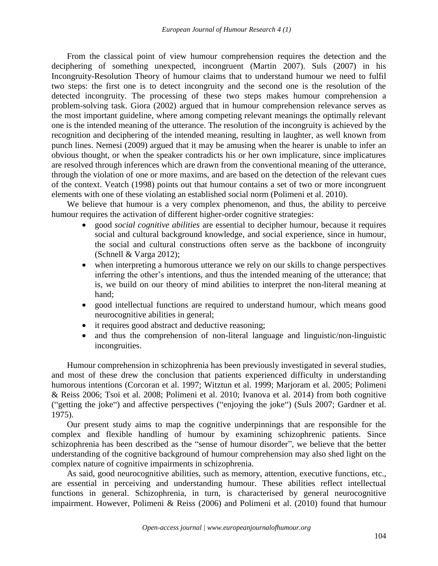From the classical point of view humour comprehension requires the detection and the deciphering of something unexpected, incongruent (Martin 2007). Suls (2007) in his Incongruity-Resolution Theory of humour claims that to understand humour we need to fulfil two steps: the first one is to detect incongruity and the second one is the resolution of the detected incongruity. The processing of these two steps makes humour comprehension a problem-solving task. Giora (2002) argued that in humour comprehension relevance serves as the most important guideline, where among competing relevant meanings the optimally relevant one is the intended meaning of the utterance. The resolution of the incongruity is achieved by the recognition and deciphering of the intended meaning, resulting in laughter, as well known from punch lines. Nemesi (2009) argued that it may be amusing when the hearer is unable to infer an obvious thought, or when the speaker contradicts his or her own implicature, since implicatures are resolved through inferences which are drawn from the conventional meaning of the utterance, through the violation of one or more maxims, and are based on the detection of the relevant cues of the context. Veatch (1998) points out that humour contains a set of two or more incongruent elements with one of these violating an established social norm (Polimeni et al. 2010).

We believe that humour is a very complex phenomenon, and thus, the ability to perceive humour requires the activation of different higher-order cognitive strategies:

- good *social cognitive abilities* are essential to decipher humour, because it requires social and cultural background knowledge, and social experience, since in humour, the social and cultural constructions often serve as the backbone of incongruity (Schnell & Varga 2012);
- when interpreting a humorous utterance we rely on our skills to change perspectives inferring the other's intentions, and thus the intended meaning of the utterance; that is, we build on our theory of mind abilities to interpret the non-literal meaning at hand;
- good intellectual functions are required to understand humour, which means good neurocognitive abilities in general;
- it requires good abstract and deductive reasoning;
- and thus the comprehension of non-literal language and linguistic/non-linguistic incongruities.

Humour comprehension in schizophrenia has been previously investigated in several studies, and most of these drew the conclusion that patients experienced difficulty in understanding humorous intentions (Corcoran et al. 1997; Witztun et al. 1999; Marjoram et al. 2005; Polimeni & Reiss 2006; Tsoi et al. 2008; Polimeni et al. 2010; Ivanova et al. 2014) from both cognitive ("getting the joke") and affective perspectives ("enjoying the joke") (Suls 2007; Gardner et al. 1975).

Our present study aims to map the cognitive underpinnings that are responsible for the complex and flexible handling of humour by examining schizophrenic patients. Since schizophrenia has been described as the "sense of humour disorder", we believe that the better understanding of the cognitive background of humour comprehension may also shed light on the complex nature of cognitive impairments in schizophrenia.

As said, good neurocognitive abilities, such as memory, attention, executive functions, etc., are essential in perceiving and understanding humour. These abilities reflect intellectual functions in general. Schizophrenia, in turn, is characterised by general neurocognitive impairment. However, Polimeni & Reiss (2006) and Polimeni et al. (2010) found that humour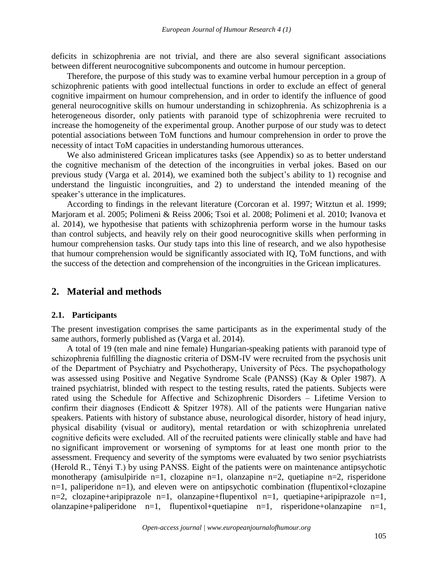deficits in schizophrenia are not trivial, and there are also several significant associations between different neurocognitive subcomponents and outcome in humour perception.

Therefore, the purpose of this study was to examine verbal humour perception in a group of schizophrenic patients with good intellectual functions in order to exclude an effect of general cognitive impairment on humour comprehension, and in order to identify the influence of good general neurocognitive skills on humour understanding in schizophrenia. As schizophrenia is a heterogeneous disorder, only patients with paranoid type of schizophrenia were recruited to increase the homogeneity of the experimental group. Another purpose of our study was to detect potential associations between ToM functions and humour comprehension in order to prove the necessity of intact ToM capacities in understanding humorous utterances.

We also administered Gricean implicatures tasks (see Appendix) so as to better understand the cognitive mechanism of the detection of the incongruities in verbal jokes. Based on our previous study (Varga et al. 2014), we examined both the subject's ability to 1) recognise and understand the linguistic incongruities, and 2) to understand the intended meaning of the speaker's utterance in the implicatures.

According to findings in the relevant literature (Corcoran et al. 1997; Witztun et al. 1999; Marjoram et al. 2005; Polimeni & Reiss 2006; Tsoi et al. 2008; Polimeni et al. 2010; Ivanova et al. 2014), we hypothesise that patients with schizophrenia perform worse in the humour tasks than control subjects, and heavily rely on their good neurocognitive skills when performing in humour comprehension tasks. Our study taps into this line of research, and we also hypothesise that humour comprehension would be significantly associated with IQ, ToM functions, and with the success of the detection and comprehension of the incongruities in the Gricean implicatures.

# **2. Material and methods**

#### **2.1. Participants**

The present investigation comprises the same participants as in the experimental study of the same authors, formerly published as (Varga et al. 2014).

A total of 19 (ten male and nine female) Hungarian-speaking patients with paranoid type of schizophrenia fulfilling the diagnostic criteria of DSM-IV were recruited from the psychosis unit of the Department of Psychiatry and Psychotherapy, University of Pécs. The psychopathology was assessed using Positive and Negative Syndrome Scale (PANSS) (Kay & Opler 1987). A trained psychiatrist, blinded with respect to the testing results, rated the patients. Subjects were rated using the Schedule for Affective and Schizophrenic Disorders – Lifetime Version to confirm their diagnoses (Endicott & Spitzer 1978). All of the patients were Hungarian native speakers. Patients with history of substance abuse, neurological disorder, history of head injury, physical disability (visual or auditory), mental retardation or with schizophrenia unrelated cognitive deficits were excluded. All of the recruited patients were clinically stable and have had no significant improvement or worsening of symptoms for at least one month prior to the assessment. Frequency and severity of the symptoms were evaluated by two senior psychiatrists (Herold R., Tényi T.) by using PANSS. Eight of the patients were on maintenance antipsychotic monotherapy (amisulpiride n=1, clozapine n=1, olanzapine n=2, quetiapine n=2, risperidone n=1, paliperidone n=1), and eleven were on antipsychotic combination (flupentixol+clozapine n=2, clozapine+aripiprazole n=1, olanzapine+flupentixol n=1, quetiapine+aripiprazole n=1, olanzapine+paliperidone n=1, flupentixol+quetiapine n=1, risperidone+olanzapine n=1,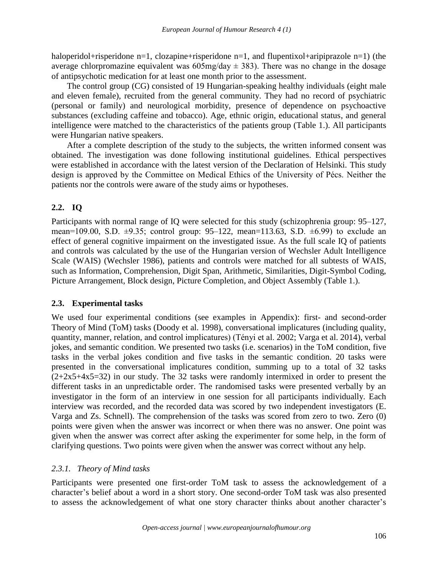haloperidol+risperidone n=1, clozapine+risperidone n=1, and flupentixol+aripiprazole n=1) (the average chlorpromazine equivalent was  $605 \text{mg/day} \pm 383$ . There was no change in the dosage of antipsychotic medication for at least one month prior to the assessment.

The control group (CG) consisted of 19 Hungarian-speaking healthy individuals (eight male and eleven female), recruited from the general community. They had no record of psychiatric (personal or family) and neurological morbidity, presence of dependence on psychoactive substances (excluding caffeine and tobacco). Age, ethnic origin, educational status, and general intelligence were matched to the characteristics of the patients group (Table 1.). All participants were Hungarian native speakers.

After a complete description of the study to the subjects, the written informed consent was obtained. The investigation was done following institutional guidelines. Ethical perspectives were established in accordance with the latest version of the Declaration of Helsinki. This study design is approved by the Committee on Medical Ethics of the University of Pécs. Neither the patients nor the controls were aware of the study aims or hypotheses.

# **2.2. IQ**

Participants with normal range of IQ were selected for this study (schizophrenia group: 95–127, mean=109.00, S.D.  $\pm$ 9.35; control group: 95–122, mean=113.63, S.D.  $\pm$ 6.99) to exclude an effect of general cognitive impairment on the investigated issue. As the full scale IQ of patients and controls was calculated by the use of the Hungarian version of Wechsler Adult Intelligence Scale (WAIS) (Wechsler 1986), patients and controls were matched for all subtests of WAIS, such as Information, Comprehension, Digit Span, Arithmetic, Similarities, Digit-Symbol Coding, Picture Arrangement, Block design, Picture Completion, and Object Assembly (Table 1.).

# **2.3. Experimental tasks**

We used four experimental conditions (see examples in Appendix): first- and second-order Theory of Mind (ToM) tasks (Doody et al. 1998), conversational implicatures (including quality, quantity, manner, relation, and control implicatures) (Tényi et al. 2002; Varga et al. 2014), verbal jokes, and semantic condition. We presented two tasks (i.e. scenarios) in the ToM condition, five tasks in the verbal jokes condition and five tasks in the semantic condition. 20 tasks were presented in the conversational implicatures condition, summing up to a total of 32 tasks  $(2+2x5+4x5=32)$  in our study. The 32 tasks were randomly intermixed in order to present the different tasks in an unpredictable order. The randomised tasks were presented verbally by an investigator in the form of an interview in one session for all participants individually. Each interview was recorded, and the recorded data was scored by two independent investigators (E. Varga and Zs. Schnell). The comprehension of the tasks was scored from zero to two. Zero (0) points were given when the answer was incorrect or when there was no answer. One point was given when the answer was correct after asking the experimenter for some help, in the form of clarifying questions. Two points were given when the answer was correct without any help.

# *2.3.1. Theory of Mind tasks*

Participants were presented one first-order ToM task to assess the acknowledgement of a character's belief about a word in a short story. One second-order ToM task was also presented to assess the acknowledgement of what one story character thinks about another character's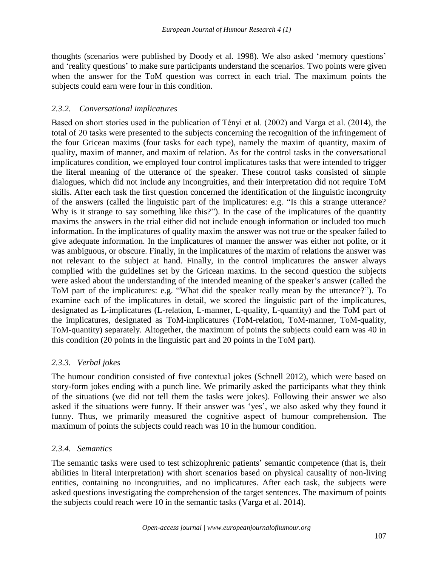thoughts (scenarios were published by Doody et al. 1998). We also asked 'memory questions' and 'reality questions' to make sure participants understand the scenarios. Two points were given when the answer for the ToM question was correct in each trial. The maximum points the subjects could earn were four in this condition.

# *2.3.2. Conversational implicatures*

Based on short stories used in the publication of Tényi et al. (2002) and Varga et al. (2014), the total of 20 tasks were presented to the subjects concerning the recognition of the infringement of the four Gricean maxims (four tasks for each type), namely the maxim of quantity, maxim of quality, maxim of manner, and maxim of relation. As for the control tasks in the conversational implicatures condition, we employed four control implicatures tasks that were intended to trigger the literal meaning of the utterance of the speaker. These control tasks consisted of simple dialogues, which did not include any incongruities, and their interpretation did not require ToM skills. After each task the first question concerned the identification of the linguistic incongruity of the answers (called the linguistic part of the implicatures: e.g. "Is this a strange utterance? Why is it strange to say something like this?"). In the case of the implicatures of the quantity maxims the answers in the trial either did not include enough information or included too much information. In the implicatures of quality maxim the answer was not true or the speaker failed to give adequate information. In the implicatures of manner the answer was either not polite, or it was ambiguous, or obscure. Finally, in the implicatures of the maxim of relations the answer was not relevant to the subject at hand. Finally, in the control implicatures the answer always complied with the guidelines set by the Gricean maxims. In the second question the subjects were asked about the understanding of the intended meaning of the speaker's answer (called the ToM part of the implicatures: e.g. "What did the speaker really mean by the utterance?"). To examine each of the implicatures in detail, we scored the linguistic part of the implicatures, designated as L-implicatures (L-relation, L-manner, L-quality, L-quantity) and the ToM part of the implicatures, designated as ToM-implicatures (ToM-relation, ToM-manner, ToM-quality, ToM-quantity) separately. Altogether, the maximum of points the subjects could earn was 40 in this condition (20 points in the linguistic part and 20 points in the ToM part).

# *2.3.3. Verbal jokes*

The humour condition consisted of five contextual jokes (Schnell 2012), which were based on story-form jokes ending with a punch line. We primarily asked the participants what they think of the situations (we did not tell them the tasks were jokes). Following their answer we also asked if the situations were funny. If their answer was 'yes', we also asked why they found it funny. Thus, we primarily measured the cognitive aspect of humour comprehension. The maximum of points the subjects could reach was 10 in the humour condition.

# *2.3.4. Semantics*

The semantic tasks were used to test schizophrenic patients' semantic competence (that is, their abilities in literal interpretation) with short scenarios based on physical causality of non-living entities, containing no incongruities, and no implicatures. After each task, the subjects were asked questions investigating the comprehension of the target sentences. The maximum of points the subjects could reach were 10 in the semantic tasks (Varga et al. 2014).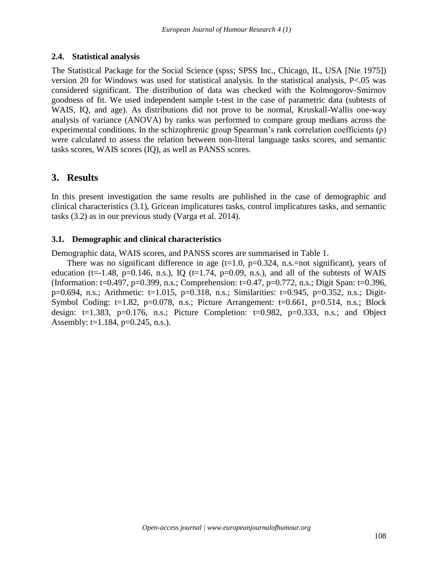# **2.4. Statistical analysis**

The Statistical Package for the Social Science (spss; SPSS Inc., Chicago, IL, USA [Nie 1975]) version 20 for Windows was used for statistical analysis. In the statistical analysis,  $P<.05$  was considered significant. The distribution of data was checked with the Kolmogorov-Smirnov goodness of fit. We used independent sample t-test in the case of parametric data (subtests of WAIS, IQ, and age). As distributions did not prove to be normal, Kruskall-Wallis one-way analysis of variance (ANOVA) by ranks was performed to compare group medians across the experimental conditions. In the schizophrenic group Spearman's rank correlation coefficients (ρ) were calculated to assess the relation between non-literal language tasks scores, and semantic tasks scores, WAIS scores (IQ), as well as PANSS scores.

# **3. Results**

In this present investigation the same results are published in the case of demographic and clinical characteristics (3.1), Gricean implicatures tasks, control implicatures tasks, and semantic tasks (3.2) as in our previous study (Varga et al. 2014).

# **3.1. Demographic and clinical characteristics**

Demographic data, WAIS scores, and PANSS scores are summarised in Table 1.

There was no significant difference in age  $(t=1.0, p=0.324, n.s.=$ not significant), years of education (t=-1.48, p=0.146, n.s.), IQ (t=1.74, p=0.09, n.s.), and all of the subtests of WAIS (Information: t=0.497, p=0.399, n.s.; Comprehension: t=0.47, p=0.772, n.s.; Digit Span: t=0.396, p=0.694, n.s.; Arithmetic: t=1.015, p=0.318, n.s.; Similarities: t=0.945, p=0.352, n.s.; Digit-Symbol Coding: t=1.82, p=0.078, n.s.; Picture Arrangement: t=0.661, p=0.514, n.s.; Block design:  $t=1.383$ ,  $p=0.176$ , n.s.; Picture Completion:  $t=0.982$ ,  $p=0.333$ , n.s.; and Object Assembly: t=1.184,  $p=0.245$ , n.s.).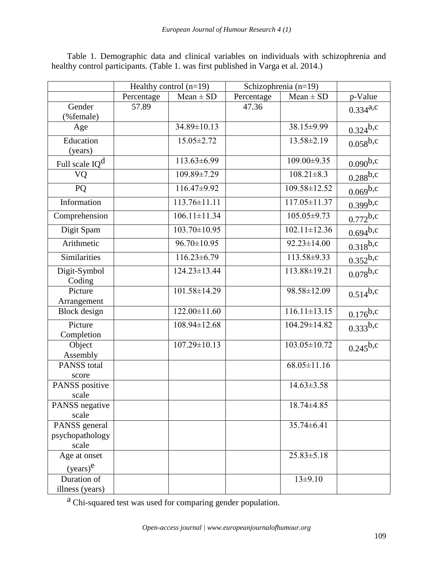|                             | Healthy control $(n=19)$ |                    | Schizophrenia (n=19) |                    |               |
|-----------------------------|--------------------------|--------------------|----------------------|--------------------|---------------|
|                             | Percentage               | $Mean \pm SD$      | Percentage           | $Mean \pm SD$      | p-Value       |
| Gender<br>(%female)         | 57.89                    |                    | 47.36                |                    | $0.334^{a,c}$ |
| Age                         |                          | 34.89±10.13        |                      | 38.15±9.99         | $0.324^{b,c}$ |
| Education<br>(years)        |                          | 15.05±2.72         |                      | 13.58±2.19         | $0.058^{b,c}$ |
| Full scale IQ <sup>d</sup>  |                          | 113.63±6.99        |                      | 109.00±9.35        | $0.090^{b,c}$ |
| VQ                          |                          | 109.89±7.29        |                      | $108.21 \pm 8.3$   | $0.288^{b,c}$ |
| PQ                          |                          | 116.47±9.92        |                      | 109.58±12.52       | $0.069^{b,c}$ |
| Information                 |                          | $113.76 \pm 11.11$ |                      | $117.05 \pm 11.37$ | $0.399^{b,c}$ |
| Comprehension               |                          | $106.11 \pm 11.34$ |                      | 105.05±9.73        | $0.772^{b,c}$ |
| Digit Spam                  |                          | $103.70 \pm 10.95$ |                      | $102.11 \pm 12.36$ | $0.694^{b,c}$ |
| Arithmetic                  |                          | $96.70 \pm 10.95$  |                      | $92.23 \pm 14.00$  | $0.318^{b,c}$ |
| Similarities                |                          | $116.23 \pm 6.79$  |                      | 113.58±9.33        | $0.352^{b,c}$ |
| Digit-Symbol<br>Coding      |                          | 124.23±13.44       |                      | 113.88±19.21       | $0.078^{b,c}$ |
| Picture<br>Arrangement      |                          | 101.58±14.29       |                      | 98.58±12.09        | $0.514^{b,c}$ |
| <b>Block</b> design         |                          | $122.00 \pm 11.60$ |                      | $116.11 \pm 13.15$ | $0.176^{b,c}$ |
| Picture<br>Completion       |                          | 108.94±12.68       |                      | 104.29±14.82       | $0.333^{b,c}$ |
| Object<br>Assembly          |                          | $107.29 \pm 10.13$ |                      | $103.05 \pm 10.72$ | $0.245^{b,c}$ |
| <b>PANSS</b> total<br>score |                          |                    |                      | $68.05 \pm 11.16$  |               |
| PANSS positive<br>scale     |                          |                    |                      | $14.63 \pm 3.58$   |               |
| PANSS negative<br>scale     |                          |                    |                      | 18.74±4.85         |               |
| PANSS general               |                          |                    |                      | 35.74±6.41         |               |
| psychopathology<br>scale    |                          |                    |                      |                    |               |
| Age at onset                |                          |                    |                      | $25.83 \pm 5.18$   |               |
| $(years)^e$                 |                          |                    |                      |                    |               |
| Duration of                 |                          |                    |                      | $13\pm9.10$        |               |
| illness (years)             |                          |                    |                      |                    |               |

Table 1. Demographic data and clinical variables on individuals with schizophrenia and healthy control participants. (Table 1. was first published in Varga et al. 2014.)

a Chi-squared test was used for comparing gender population.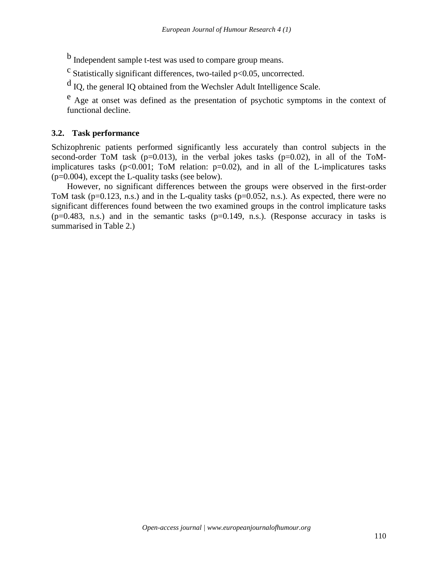b Independent sample t-test was used to compare group means.

 $\textdegree$  Statistically significant differences, two-tailed p<0.05, uncorrected.

<sup>d</sup> IQ, the general IQ obtained from the Wechsler Adult Intelligence Scale.

e Age at onset was defined as the presentation of psychotic symptoms in the context of functional decline.

# **3.2. Task performance**

Schizophrenic patients performed significantly less accurately than control subjects in the second-order ToM task ( $p=0.013$ ), in the verbal jokes tasks ( $p=0.02$ ), in all of the ToMimplicatures tasks ( $p<0.001$ ; ToM relation:  $p=0.02$ ), and in all of the L-implicatures tasks  $(p=0.004)$ , except the L-quality tasks (see below).

However, no significant differences between the groups were observed in the first-order ToM task (p=0.123, n.s.) and in the L-quality tasks (p=0.052, n.s.). As expected, there were no significant differences found between the two examined groups in the control implicature tasks  $(p=0.483, n.s.)$  and in the semantic tasks  $(p=0.149, n.s.)$ . (Response accuracy in tasks is summarised in Table 2.)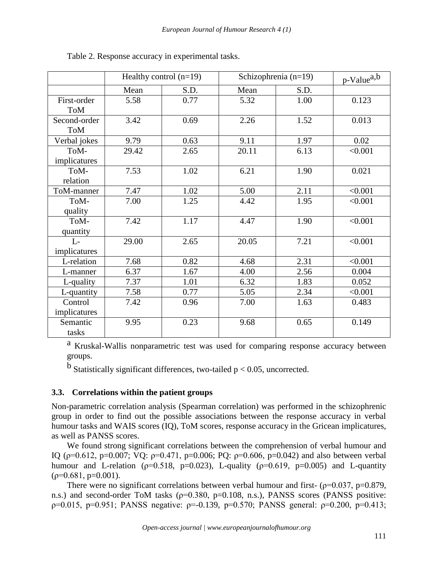|              | Healthy control $(n=19)$ |      | Schizophrenia $(n=19)$ |      | $p$ -Value <sup>a,b</sup> |
|--------------|--------------------------|------|------------------------|------|---------------------------|
|              | Mean                     | S.D. | Mean                   | S.D. |                           |
| First-order  | 5.58                     | 0.77 | 5.32                   | 1.00 | 0.123                     |
| <b>ToM</b>   |                          |      |                        |      |                           |
| Second-order | 3.42                     | 0.69 | 2.26                   | 1.52 | 0.013                     |
| <b>ToM</b>   |                          |      |                        |      |                           |
| Verbal jokes | 9.79                     | 0.63 | 9.11                   | 1.97 | 0.02                      |
| ToM-         | 29.42                    | 2.65 | 20.11                  | 6.13 | < 0.001                   |
| implicatures |                          |      |                        |      |                           |
| ToM-         | 7.53                     | 1.02 | 6.21                   | 1.90 | 0.021                     |
| relation     |                          |      |                        |      |                           |
| ToM-manner   | 7.47                     | 1.02 | 5.00                   | 2.11 | < 0.001                   |
| ToM-         | 7.00                     | 1.25 | 4.42                   | 1.95 | < 0.001                   |
| quality      |                          |      |                        |      |                           |
| ToM-         | 7.42                     | 1.17 | 4.47                   | 1.90 | < 0.001                   |
| quantity     |                          |      |                        |      |                           |
| $L-$         | 29.00                    | 2.65 | 20.05                  | 7.21 | < 0.001                   |
| implicatures |                          |      |                        |      |                           |
| L-relation   | 7.68                     | 0.82 | 4.68                   | 2.31 | < 0.001                   |
| L-manner     | 6.37                     | 1.67 | 4.00                   | 2.56 | 0.004                     |
| L-quality    | 7.37                     | 1.01 | 6.32                   | 1.83 | 0.052                     |
| L-quantity   | 7.58                     | 0.77 | 5.05                   | 2.34 | < 0.001                   |
| Control      | 7.42                     | 0.96 | 7.00                   | 1.63 | 0.483                     |
| implicatures |                          |      |                        |      |                           |
| Semantic     | 9.95                     | 0.23 | 9.68                   | 0.65 | 0.149                     |
| tasks        |                          |      |                        |      |                           |

Table 2. Response accuracy in experimental tasks.

a Kruskal-Wallis nonparametric test was used for comparing response accuracy between groups.

 $<sup>b</sup>$  Statistically significant differences, two-tailed p < 0.05, uncorrected.</sup>

# **3.3. Correlations within the patient groups**

Non-parametric correlation analysis (Spearman correlation) was performed in the schizophrenic group in order to find out the possible associations between the response accuracy in verbal humour tasks and WAIS scores (IQ), ToM scores, response accuracy in the Gricean implicatures, as well as PANSS scores.

We found strong significant correlations between the comprehension of verbal humour and IQ ( $p=0.612$ ,  $p=0.007$ ; VQ:  $p=0.471$ ,  $p=0.006$ ; PQ:  $p=0.606$ ,  $p=0.042$ ) and also between verbal humour and L-relation ( $p=0.518$ ,  $p=0.023$ ), L-quality ( $p=0.619$ ,  $p=0.005$ ) and L-quantity  $(p=0.681, p=0.001)$ .

There were no significant correlations between verbal humour and first- ( $\rho$ =0.037,  $p$ =0.879, n.s.) and second-order ToM tasks (ρ=0.380, p=0.108, n.s.), PANSS scores (PANSS positive:  $p=0.015$ ,  $p=0.951$ ; PANSS negative:  $p=-0.139$ ,  $p=0.570$ ; PANSS general:  $p=0.200$ ,  $p=0.413$ ;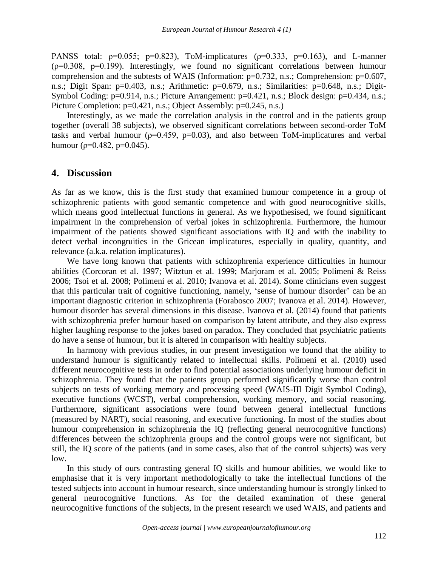PANSS total:  $p=0.055$ ;  $p=0.823$ ), ToM-implicatures ( $p=0.333$ ,  $p=0.163$ ), and L-manner  $(p=0.308, p=0.199)$ . Interestingly, we found no significant correlations between humour comprehension and the subtests of WAIS (Information: p=0.732, n.s.; Comprehension: p=0.607, n.s.; Digit Span: p=0.403, n.s.; Arithmetic: p=0.679, n.s.; Similarities: p=0.648, n.s.; Digit-Symbol Coding: p=0.914, n.s.; Picture Arrangement: p=0.421, n.s.; Block design: p=0.434, n.s.; Picture Completion: p=0.421, n.s.; Object Assembly: p=0.245, n.s.)

Interestingly, as we made the correlation analysis in the control and in the patients group together (overall 38 subjects), we observed significant correlations between second-order ToM tasks and verbal humour ( $p=0.459$ ,  $p=0.03$ ), and also between ToM-implicatures and verbal humour ( $p=0.482$ ,  $p=0.045$ ).

## **4. Discussion**

As far as we know, this is the first study that examined humour competence in a group of schizophrenic patients with good semantic competence and with good neurocognitive skills, which means good intellectual functions in general. As we hypothesised, we found significant impairment in the comprehension of verbal jokes in schizophrenia. Furthermore, the humour impairment of the patients showed significant associations with IQ and with the inability to detect verbal incongruities in the Gricean implicatures, especially in quality, quantity, and relevance (a.k.a. relation implicatures).

We have long known that patients with schizophrenia experience difficulties in humour abilities (Corcoran et al. 1997; Witztun et al. 1999; Marjoram et al. 2005; Polimeni & Reiss 2006; Tsoi et al. 2008; Polimeni et al. 2010; Ivanova et al. 2014). Some clinicians even suggest that this particular trait of cognitive functioning, namely, 'sense of humour disorder' can be an important diagnostic criterion in schizophrenia (Forabosco 2007; Ivanova et al. 2014). However, humour disorder has several dimensions in this disease. Ivanova et al. (2014) found that patients with schizophrenia prefer humour based on comparison by latent attribute, and they also express higher laughing response to the jokes based on paradox. They concluded that psychiatric patients do have a sense of humour, but it is altered in comparison with healthy subjects.

In harmony with previous studies, in our present investigation we found that the ability to understand humour is significantly related to intellectual skills. Polimeni et al. (2010) used different neurocognitive tests in order to find potential associations underlying humour deficit in schizophrenia. They found that the patients group performed significantly worse than control subjects on tests of working memory and processing speed (WAIS-III Digit Symbol Coding), executive functions (WCST), verbal comprehension, working memory, and social reasoning. Furthermore, significant associations were found between general intellectual functions (measured by NART), social reasoning, and executive functioning. In most of the studies about humour comprehension in schizophrenia the IQ (reflecting general neurocognitive functions) differences between the schizophrenia groups and the control groups were not significant, but still, the IQ score of the patients (and in some cases, also that of the control subjects) was very low.

In this study of ours contrasting general IQ skills and humour abilities, we would like to emphasise that it is very important methodologically to take the intellectual functions of the tested subjects into account in humour research, since understanding humour is strongly linked to general neurocognitive functions. As for the detailed examination of these general neurocognitive functions of the subjects, in the present research we used WAIS, and patients and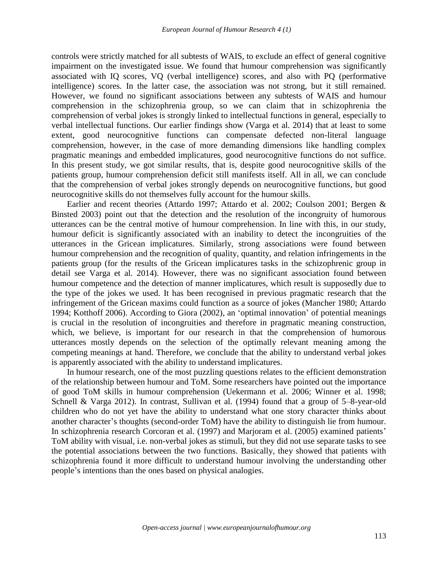controls were strictly matched for all subtests of WAIS, to exclude an effect of general cognitive impairment on the investigated issue. We found that humour comprehension was significantly associated with IQ scores, VQ (verbal intelligence) scores, and also with PQ (performative intelligence) scores. In the latter case, the association was not strong, but it still remained. However, we found no significant associations between any subtests of WAIS and humour comprehension in the schizophrenia group, so we can claim that in schizophrenia the comprehension of verbal jokes is strongly linked to intellectual functions in general, especially to verbal intellectual functions. Our earlier findings show (Varga et al. 2014) that at least to some extent, good neurocognitive functions can compensate defected non-literal language comprehension, however, in the case of more demanding dimensions like handling complex pragmatic meanings and embedded implicatures, good neurocognitive functions do not suffice. In this present study, we got similar results, that is, despite good neurocognitive skills of the patients group, humour comprehension deficit still manifests itself. All in all, we can conclude that the comprehension of verbal jokes strongly depends on neurocognitive functions, but good neurocognitive skills do not themselves fully account for the humour skills.

Earlier and recent theories (Attardo 1997; Attardo et al. 2002; Coulson 2001; Bergen & Binsted 2003) point out that the detection and the resolution of the incongruity of humorous utterances can be the central motive of humour comprehension. In line with this, in our study, humour deficit is significantly associated with an inability to detect the incongruities of the utterances in the Gricean implicatures. Similarly, strong associations were found between humour comprehension and the recognition of quality, quantity, and relation infringements in the patients group (for the results of the Gricean implicatures tasks in the schizophrenic group in detail see Varga et al. 2014). However, there was no significant association found between humour competence and the detection of manner implicatures, which result is supposedly due to the type of the jokes we used. It has been recognised in previous pragmatic research that the infringement of the Gricean maxims could function as a source of jokes (Mancher 1980; Attardo 1994; Kotthoff 2006). According to Giora (2002), an 'optimal innovation' of potential meanings is crucial in the resolution of incongruities and therefore in pragmatic meaning construction, which, we believe, is important for our research in that the comprehension of humorous utterances mostly depends on the selection of the optimally relevant meaning among the competing meanings at hand. Therefore, we conclude that the ability to understand verbal jokes is apparently associated with the ability to understand implicatures.

In humour research, one of the most puzzling questions relates to the efficient demonstration of the relationship between humour and ToM. Some researchers have pointed out the importance of good ToM skills in humour comprehension (Uekermann et al. 2006; Winner et al. 1998; Schnell & Varga 2012). In contrast, Sullivan et al. (1994) found that a group of 5–8-year-old children who do not yet have the ability to understand what one story character thinks about another character's thoughts (second-order ToM) have the ability to distinguish lie from humour. In schizophrenia research Corcoran et al. (1997) and Marjoram et al. (2005) examined patients' ToM ability with visual, i.e. non-verbal jokes as stimuli, but they did not use separate tasks to see the potential associations between the two functions. Basically, they showed that patients with schizophrenia found it more difficult to understand humour involving the understanding other people's intentions than the ones based on physical analogies.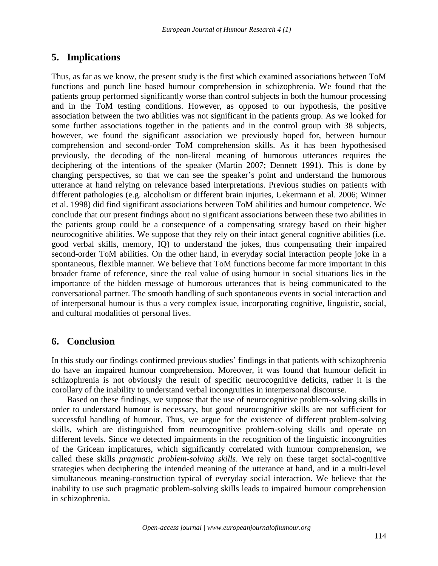# **5. Implications**

Thus, as far as we know, the present study is the first which examined associations between ToM functions and punch line based humour comprehension in schizophrenia. We found that the patients group performed significantly worse than control subjects in both the humour processing and in the ToM testing conditions. However, as opposed to our hypothesis, the positive association between the two abilities was not significant in the patients group. As we looked for some further associations together in the patients and in the control group with 38 subjects, however, we found the significant association we previously hoped for, between humour comprehension and second-order ToM comprehension skills. As it has been hypothesised previously, the decoding of the non-literal meaning of humorous utterances requires the deciphering of the intentions of the speaker (Martin 2007; Dennett 1991). This is done by changing perspectives, so that we can see the speaker's point and understand the humorous utterance at hand relying on relevance based interpretations. Previous studies on patients with different pathologies (e.g. alcoholism or different brain injuries, Uekermann et al. 2006; Winner et al. 1998) did find significant associations between ToM abilities and humour competence. We conclude that our present findings about no significant associations between these two abilities in the patients group could be a consequence of a compensating strategy based on their higher neurocognitive abilities. We suppose that they rely on their intact general cognitive abilities (i.e. good verbal skills, memory, IQ) to understand the jokes, thus compensating their impaired second-order ToM abilities. On the other hand, in everyday social interaction people joke in a spontaneous, flexible manner. We believe that ToM functions become far more important in this broader frame of reference, since the real value of using humour in social situations lies in the importance of the hidden message of humorous utterances that is being communicated to the conversational partner. The smooth handling of such spontaneous events in social interaction and of interpersonal humour is thus a very complex issue, incorporating cognitive, linguistic, social, and cultural modalities of personal lives.

# **6. Conclusion**

In this study our findings confirmed previous studies' findings in that patients with schizophrenia do have an impaired humour comprehension. Moreover, it was found that humour deficit in schizophrenia is not obviously the result of specific neurocognitive deficits, rather it is the corollary of the inability to understand verbal incongruities in interpersonal discourse.

Based on these findings, we suppose that the use of neurocognitive problem-solving skills in order to understand humour is necessary, but good neurocognitive skills are not sufficient for successful handling of humour. Thus, we argue for the existence of different problem-solving skills, which are distinguished from neurocognitive problem-solving skills and operate on different levels. Since we detected impairments in the recognition of the linguistic incongruities of the Gricean implicatures, which significantly correlated with humour comprehension, we called these skills *pragmatic problem-solving skills*. We rely on these target social-cognitive strategies when deciphering the intended meaning of the utterance at hand, and in a multi-level simultaneous meaning-construction typical of everyday social interaction*.* We believe that the inability to use such pragmatic problem-solving skills leads to impaired humour comprehension in schizophrenia.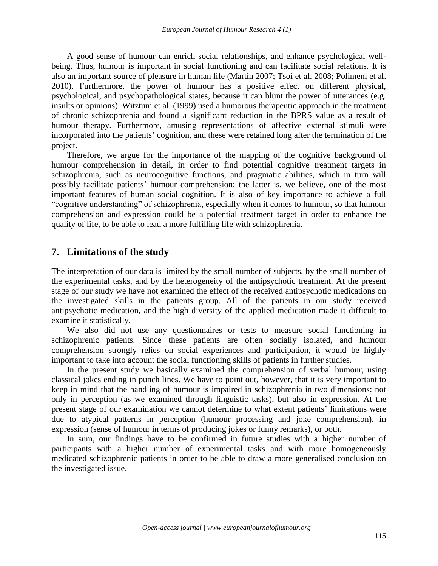A good sense of humour can enrich social relationships, and enhance psychological wellbeing. Thus, humour is important in social functioning and can facilitate social relations. It is also an important source of pleasure in human life (Martin 2007; Tsoi et al. 2008; Polimeni et al. 2010). Furthermore, the power of humour has a positive effect on different physical, psychological, and psychopathological states, because it can blunt the power of utterances (e.g. insults or opinions). Witztum et al. (1999) used a humorous therapeutic approach in the treatment of chronic schizophrenia and found a significant reduction in the BPRS value as a result of humour therapy. Furthermore, amusing representations of affective external stimuli were incorporated into the patients' cognition, and these were retained long after the termination of the project.

Therefore, we argue for the importance of the mapping of the cognitive background of humour comprehension in detail, in order to find potential cognitive treatment targets in schizophrenia, such as neurocognitive functions, and pragmatic abilities, which in turn will possibly facilitate patients' humour comprehension: the latter is, we believe, one of the most important features of human social cognition. It is also of key importance to achieve a full "cognitive understanding" of schizophrenia, especially when it comes to humour, so that humour comprehension and expression could be a potential treatment target in order to enhance the quality of life, to be able to lead a more fulfilling life with schizophrenia.

# **7. Limitations of the study**

The interpretation of our data is limited by the small number of subjects, by the small number of the experimental tasks, and by the heterogeneity of the antipsychotic treatment. At the present stage of our study we have not examined the effect of the received antipsychotic medications on the investigated skills in the patients group. All of the patients in our study received antipsychotic medication, and the high diversity of the applied medication made it difficult to examine it statistically.

We also did not use any questionnaires or tests to measure social functioning in schizophrenic patients. Since these patients are often socially isolated, and humour comprehension strongly relies on social experiences and participation, it would be highly important to take into account the social functioning skills of patients in further studies.

In the present study we basically examined the comprehension of verbal humour, using classical jokes ending in punch lines. We have to point out, however, that it is very important to keep in mind that the handling of humour is impaired in schizophrenia in two dimensions: not only in perception (as we examined through linguistic tasks), but also in expression. At the present stage of our examination we cannot determine to what extent patients' limitations were due to atypical patterns in perception (humour processing and joke comprehension), in expression (sense of humour in terms of producing jokes or funny remarks), or both.

In sum, our findings have to be confirmed in future studies with a higher number of participants with a higher number of experimental tasks and with more homogeneously medicated schizophrenic patients in order to be able to draw a more generalised conclusion on the investigated issue.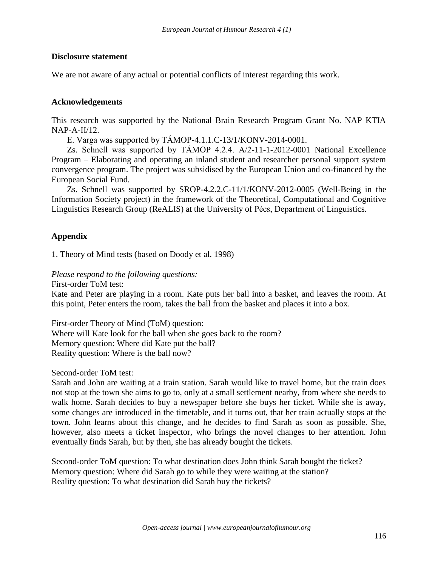#### **Disclosure statement**

We are not aware of any actual or potential conflicts of interest regarding this work.

#### **Acknowledgements**

This research was supported by the National Brain Research Program Grant No. NAP KTIA NAP-A-II/12.

E. Varga was supported by TÁMOP-4.1.1.C-13/1/KONV-2014-0001.

Zs. Schnell was supported by TÁMOP 4.2.4. A/2-11-1-2012-0001 National Excellence Program – Elaborating and operating an inland student and researcher personal support system convergence program. The project was subsidised by the European Union and co-financed by the European Social Fund.

Zs. Schnell was supported by SROP-4.2.2.C-11/1/KONV-2012-0005 (Well-Being in the Information Society project) in the framework of the Theoretical, Computational and Cognitive Linguistics Research Group (ReALIS) at the University of Pécs, Department of Linguistics.

# **Appendix**

1. Theory of Mind tests (based on Doody et al. 1998)

*Please respond to the following questions:*

First-order ToM test:

Kate and Peter are playing in a room. Kate puts her ball into a basket, and leaves the room. At this point, Peter enters the room, takes the ball from the basket and places it into a box.

First-order Theory of Mind (ToM) question: Where will Kate look for the ball when she goes back to the room? Memory question: Where did Kate put the ball? Reality question: Where is the ball now?

Second-order ToM test:

Sarah and John are waiting at a train station. Sarah would like to travel home, but the train does not stop at the town she aims to go to, only at a small settlement nearby, from where she needs to walk home. Sarah decides to buy a newspaper before she buys her ticket. While she is away, some changes are introduced in the timetable, and it turns out, that her train actually stops at the town. John learns about this change, and he decides to find Sarah as soon as possible. She, however, also meets a ticket inspector, who brings the novel changes to her attention. John eventually finds Sarah, but by then, she has already bought the tickets.

Second-order ToM question: To what destination does John think Sarah bought the ticket? Memory question: Where did Sarah go to while they were waiting at the station? Reality question: To what destination did Sarah buy the tickets?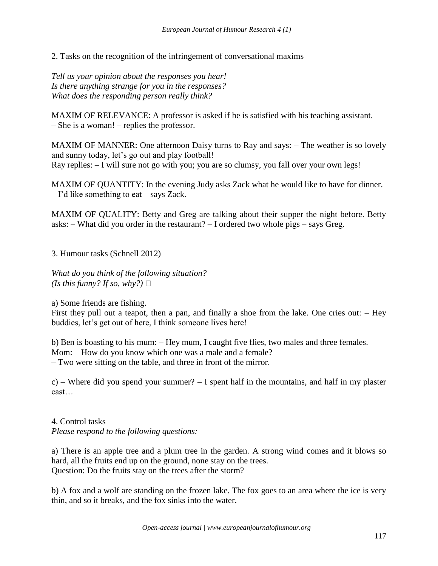2. Tasks on the recognition of the infringement of conversational maxims

*Tell us your opinion about the responses you hear! Is there anything strange for you in the responses? What does the responding person really think?*

MAXIM OF RELEVANCE: A professor is asked if he is satisfied with his teaching assistant. – She is a woman! – replies the professor.

MAXIM OF MANNER: One afternoon Daisy turns to Ray and says: – The weather is so lovely and sunny today, let's go out and play football! Ray replies: – I will sure not go with you; you are so clumsy, you fall over your own legs!

MAXIM OF QUANTITY: In the evening Judy asks Zack what he would like to have for dinner. – I'd like something to eat – says Zack.

MAXIM OF QUALITY: Betty and Greg are talking about their supper the night before. Betty asks: – What did you order in the restaurant? – I ordered two whole pigs – says Greg.

3. Humour tasks (Schnell 2012)

*What do you think of the following situation? (Is this funny? If so, why?)*  $\Box$ 

a) Some friends are fishing.

First they pull out a teapot, then a pan, and finally a shoe from the lake. One cries out: – Hey buddies, let's get out of here, I think someone lives here!

b) Ben is boasting to his mum: – Hey mum, I caught five flies, two males and three females. Mom: – How do you know which one was a male and a female? – Two were sitting on the table, and three in front of the mirror.

c) – Where did you spend your summer?  $-1$  spent half in the mountains, and half in my plaster cast…

4. Control tasks *Please respond to the following questions:*

a) There is an apple tree and a plum tree in the garden. A strong wind comes and it blows so hard, all the fruits end up on the ground, none stay on the trees. Question: Do the fruits stay on the trees after the storm?

b) A fox and a wolf are standing on the frozen lake. The fox goes to an area where the ice is very thin, and so it breaks, and the fox sinks into the water.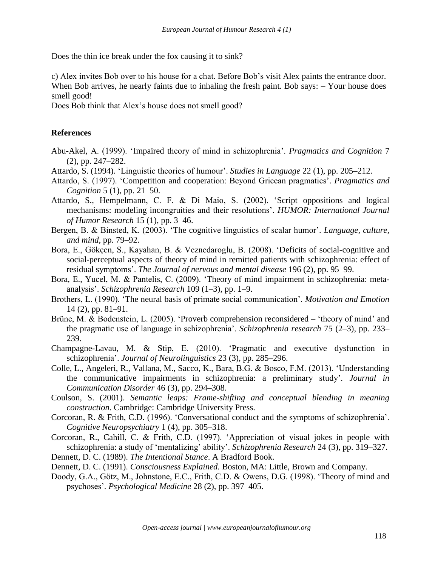Does the thin ice break under the fox causing it to sink?

c) Alex invites Bob over to his house for a chat. Before Bob's visit Alex paints the entrance door. When Bob arrives, he nearly faints due to inhaling the fresh paint. Bob says:  $-$  Your house does smell good!

Does Bob think that Alex's house does not smell good?

#### **References**

- Abu-Akel, A. (1999). 'Impaired theory of mind in schizophrenia'. *Pragmatics and Cognition* 7 (2), pp. 247–282.
- Attardo, S. (1994). 'Linguistic theories of humour'. *Studies in Language* 22 (1), pp. 205–212.
- Attardo, S. (1997). 'Competition and cooperation: Beyond Gricean pragmatics'. *Pragmatics and Cognition* 5 (1), pp. 21–50.
- Attardo, S., Hempelmann, C. F. & Di Maio, S. (2002). 'Script oppositions and logical mechanisms: modeling incongruities and their resolutions'. *HUMOR: International Journal of Humor Research* 15 (1), pp. 3–46.
- Bergen, B. & Binsted, K. (2003). 'The cognitive linguistics of scalar humor'. *Language, culture, and mind,* pp. 79–92.
- Bora, E., Gökçen, S., Kayahan, B. & Veznedaroglu, B. (2008). 'Deficits of social-cognitive and social-perceptual aspects of theory of mind in remitted patients with schizophrenia: effect of residual symptoms'. *The Journal of nervous and mental disease* 196 (2), pp. 95–99.
- Bora, E., Yucel, M. & Pantelis, C. (2009). 'Theory of mind impairment in schizophrenia: metaanalysis'. *Schizophrenia Research* 109 (1–3), pp. 1–9.
- Brothers, L. (1990). 'The neural basis of primate social communication'. *Motivation and Emotion* 14 (2), pp. 81–91.
- Brüne, M. & Bodenstein, L. (2005). 'Proverb comprehension reconsidered 'theory of mind' and the pragmatic use of language in schizophrenia'. *Schizophrenia research* 75 (2–3), pp. 233– 239.
- Champagne-Lavau, M. & Stip, E. (2010). 'Pragmatic and executive dysfunction in schizophrenia'. *Journal of Neurolinguistics* 23 (3), pp. 285–296.
- Colle, L., Angeleri, R., Vallana, M., Sacco, K., Bara, B.G. & Bosco, F.M. (2013). 'Understanding the communicative impairments in schizophrenia: a preliminary study'. *Journal in Communication Disorder* 46 (3), pp. 294–308.
- Coulson, S. (2001). *Semantic leaps: Frame-shifting and conceptual blending in meaning construction.* Cambridge: Cambridge University Press.
- Corcoran, R. & Frith, C.D. (1996). 'Conversational conduct and the symptoms of schizophrenia'. *Cognitive Neuropsychiatry* 1 (4), pp. 305–318.
- Corcoran, R., Cahill, C. & Frith, C.D. (1997). 'Appreciation of visual jokes in people with schizophrenia: a study of 'mentalizing' ability'. *Schizophrenia Research* 24 (3), pp. 319–327. Dennett, D. C. (1989). *The Intentional Stance*. A Bradford Book.
- Dennett, D. C. (1991). *Consciousness Explained.* Boston, MA: Little, Brown and Company.
- Doody, G.A., Götz, M., Johnstone, E.C., Frith, C.D. & Owens, D.G. (1998). 'Theory of mind and psychoses'. *Psychological Medicine* 28 (2), pp. 397–405.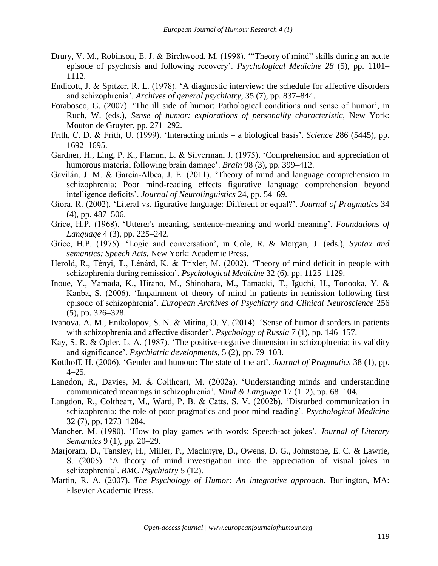- Drury, V. M., Robinson, E. J. & Birchwood, M. (1998). '"Theory of mind" skills during an acute episode of psychosis and following recovery'. *Psychological Medicine 28* (5), pp. 1101– 1112.
- Endicott, J. & Spitzer, R. L. (1978). 'A diagnostic interview: the schedule for affective disorders and schizophrenia'. *Archives of general psychiatry*, 35 (7), pp. 837–844.
- Forabosco, G. (2007). 'The ill side of humor: Pathological conditions and sense of humor', in Ruch, W. (eds.), *Sense of humor: explorations of personality characteristic,* New York: Mouton de Gruyter, pp. 271–292.
- Frith, C. D. & Frith, U. (1999). 'Interacting minds a biological basis'. *Science* 286 (5445), pp. 1692–1695.
- Gardner, H., Ling, P. K., Flamm, L. & Silverman, J. (1975). 'Comprehension and appreciation of humorous material following brain damage'. *Brain* 98 (3), pp. 399–412.
- Gavilán, J. M. & García-Albea, J. E. (2011). 'Theory of mind and language comprehension in schizophrenia: Poor mind-reading effects figurative language comprehension beyond intelligence deficits'. *Journal of Neurolinguistics* 24, pp. 54–69.
- Giora, R. (2002). 'Literal vs. figurative language: Different or equal?'. *Journal of Pragmatics* 34 (4), pp. 487–506.
- Grice, H.P. (1968). 'Utterer's meaning, sentence-meaning and world meaning'. *Foundations of Language* 4 (3), pp. 225–242.
- Grice, H.P. (1975). 'Logic and conversation', in Cole, R. & Morgan, J. (eds.), *Syntax and semantics: Speech Acts,* New York: Academic Press.
- Herold, R., Tényi, T., Lénárd, K. & Trixler, M. (2002). 'Theory of mind deficit in people with schizophrenia during remission'. *Psychological Medicine* 32 (6), pp. 1125–1129.
- Inoue, Y., Yamada, K., Hirano, M., Shinohara, M., Tamaoki, T., Iguchi, H., Tonooka, Y. & Kanba, S. (2006). 'Impairment of theory of mind in patients in remission following first episode of schizophrenia'. *European Archives of Psychiatry and Clinical Neuroscience* 256 (5), pp. 326–328.
- Ivanova, A. M., Enikolopov, S. N. & Mitina, O. V. (2014). 'Sense of humor disorders in patients with schizophrenia and affective disorder'. *Psychology of Russia* 7 (1), pp. 146–157.
- Kay, S. R. & Opler, L. A. (1987). 'The positive-negative dimension in schizophrenia: its validity and significance'. *Psychiatric developments*, 5 (2), pp. 79–103.
- Kotthoff, H. (2006). 'Gender and humour: The state of the art'. *Journal of Pragmatics* 38 (1), pp.  $4-25.$
- Langdon, R., Davies, M. & Coltheart, M. (2002a). 'Understanding minds and understanding communicated meanings in schizophrenia'. *Mind & Language* 17 (1–2), pp. 68–104.
- Langdon, R., Coltheart, M., Ward, P. B. & Catts, S. V. (2002b). 'Disturbed communication in schizophrenia: the role of poor pragmatics and poor mind reading'. *Psychological Medicine*  32 (7), pp. 1273–1284.
- Mancher, M. (1980). 'How to play games with words: Speech-act jokes'. *Journal of Literary Semantics* 9 (1), pp. 20–29.
- Marjoram, D., Tansley, H., Miller, P., MacIntyre, D., Owens, D. G., Johnstone, E. C. & Lawrie, S. (2005). 'A theory of mind investigation into the appreciation of visual jokes in schizophrenia'. *BMC Psychiatry* 5 (12).
- Martin, R. A. (2007). *The Psychology of Humor: An integrative approach*. Burlington, MA: Elsevier Academic Press.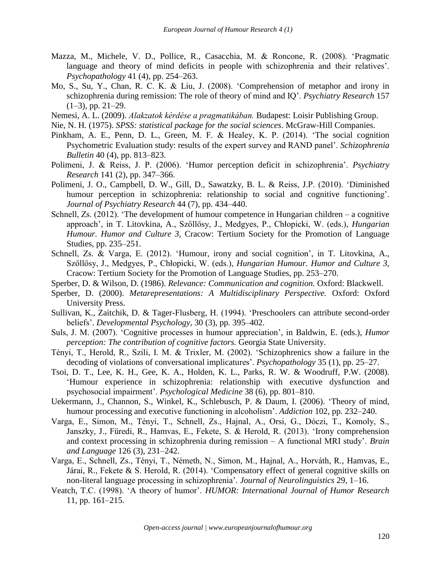- Mazza, M., Michele, V. D., Pollice, R., Casacchia, M. & Roncone, R. (2008). 'Pragmatic language and theory of mind deficits in people with schizophrenia and their relatives'. *Psychopathology* 41 (4), pp. 254–263.
- Mo, S., Su, Y., Chan, R. C. K. & Liu, J. (2008). 'Comprehension of metaphor and irony in schizophrenia during remission: The role of theory of mind and IQ'. *Psychiatry Research* 157  $(1-3)$ , pp. 21–29.
- Nemesi, A. L. (2009). *Alakzatok kérdése a pragmatikában.* Budapest: Loisir Publishing Group.
- Nie, N. H. (1975). *SPSS: statistical package for the social sciences*. McGraw-Hill Companies.
- Pinkham, A. E., Penn, D. L., Green, M. F. & Healey, K. P. (2014). 'The social cognition Psychometric Evaluation study: results of the expert survey and RAND panel'. *Schizophrenia Bulletin* 40 (4), pp. 813–823.
- Polimeni, J. & Reiss, J. P. (2006). 'Humor perception deficit in schizophrenia'. *Psychiatry Research* 141 (2), pp. 347–366.
- Polimeni, J. O., Campbell, D. W., Gill, D., Sawatzky, B. L. & Reiss, J.P. (2010). 'Diminished humour perception in schizophrenia: relationship to social and cognitive functioning'. *Journal of Psychiatry Research* 44 (7), pp. 434–440.
- Schnell, Zs. (2012). 'The development of humour competence in Hungarian children a cognitive approach', in T. Litovkina, A., Szőllősy, J., Medgyes, P., Chłopicki, W. (eds.), *Hungarian Humour. Humor and Culture 3,* Cracow: Tertium Society for the Promotion of Language Studies, pp. 235–251.
- Schnell, Zs. & Varga, E. (2012). 'Humour, irony and social cognition', in T. Litovkina, A., Szőllősy, J., Medgyes, P., Chłopicki, W. (eds.), *Hungarian Humour. Humor and Culture 3,* Cracow: Tertium Society for the Promotion of Language Studies, pp. 253–270.
- Sperber, D. & Wilson, D. (1986). *Relevance: Communication and cognition.* Oxford: Blackwell.
- Sperber, D. (2000). *Metarepresentations: A Multidisciplinary Perspective.* Oxford: Oxford University Press.
- Sullivan, K., Zaitchik, D. & Tager-Flusberg, H. (1994). 'Preschoolers can attribute second-order beliefs'. *Developmental Psychology*, 30 (3), pp. 395–402.
- Suls, J. M. (2007). 'Cognitive processes in humour appreciation', in Baldwin, E. (eds.), *Humor perception: The contribution of cognitive factors.* Georgia State University.
- Tényi, T., Herold, R., Szili, I. M. & Trixler, M. (2002). 'Schizophrenics show a failure in the decoding of violations of conversational implicatures'. *Psychopathology* 35 (1), pp. 25–27.
- Tsoi, D. T., Lee, K. H., Gee, K. A., Holden, K. L., Parks, R. W. & Woodruff, P.W. (2008). 'Humour experience in schizophrenia: relationship with executive dysfunction and psychosocial impairment'. *Psychological Medicine* 38 (6), pp. 801–810.
- Uekermann, J., Channon, S., Winkel, K., Schlebusch, P. & Daum, I. (2006). 'Theory of mind, humour processing and executive functioning in alcoholism'. *Addiction* 102, pp. 232–240.
- Varga, E., Simon, M., Tényi, T., Schnell, Zs., Hajnal, A., Orsi, G., Dóczi, T., Komoly, S., Janszky, J., Füredi, R., Hamvas, E., Fekete, S. & Herold, R. (2013). 'Irony comprehension and context processing in schizophrenia during remission – A functional MRI study'. *Brain and Language* 126 (3), 231–242.
- Varga, E., Schnell, Zs., Tényi, T., Németh, N., Simon, M., Hajnal, A., Horváth, R., Hamvas, E., Járai, R., Fekete & S. Herold, R. (2014). 'Compensatory effect of general cognitive skills on non-literal language processing in schizophrenia'. *Journal of Neurolinguistics* 29*,* 1–16.
- Veatch, T.C. (1998). 'A theory of humor'. *HUMOR: International Journal of Humor Research* 11, pp. 161–215.